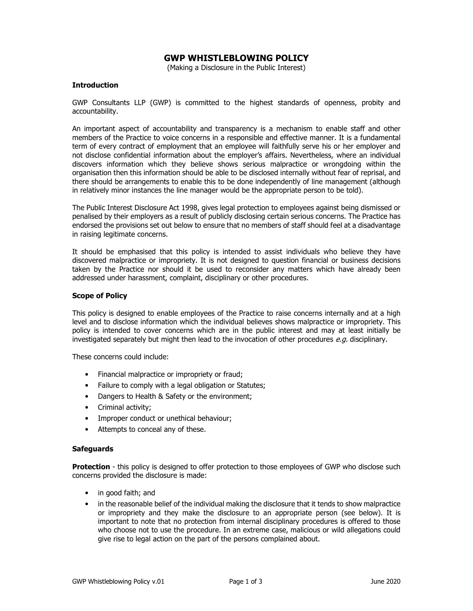# GWP WHISTLEBLOWING POLICY

(Making a Disclosure in the Public Interest)

### **Introduction**

GWP Consultants LLP (GWP) is committed to the highest standards of openness, probity and accountability.

An important aspect of accountability and transparency is a mechanism to enable staff and other members of the Practice to voice concerns in a responsible and effective manner. It is a fundamental term of every contract of employment that an employee will faithfully serve his or her employer and not disclose confidential information about the employer's affairs. Nevertheless, where an individual discovers information which they believe shows serious malpractice or wrongdoing within the organisation then this information should be able to be disclosed internally without fear of reprisal, and there should be arrangements to enable this to be done independently of line management (although in relatively minor instances the line manager would be the appropriate person to be told).

The Public Interest Disclosure Act 1998, gives legal protection to employees against being dismissed or penalised by their employers as a result of publicly disclosing certain serious concerns. The Practice has endorsed the provisions set out below to ensure that no members of staff should feel at a disadvantage in raising legitimate concerns.

It should be emphasised that this policy is intended to assist individuals who believe they have discovered malpractice or impropriety. It is not designed to question financial or business decisions taken by the Practice nor should it be used to reconsider any matters which have already been addressed under harassment, complaint, disciplinary or other procedures.

#### Scope of Policy

This policy is designed to enable employees of the Practice to raise concerns internally and at a high level and to disclose information which the individual believes shows malpractice or impropriety. This policy is intended to cover concerns which are in the public interest and may at least initially be investigated separately but might then lead to the invocation of other procedures e.g. disciplinary.

These concerns could include:

- Financial malpractice or impropriety or fraud;
- Failure to comply with a legal obligation or Statutes;
- Dangers to Health & Safety or the environment;
- Criminal activity;
- Improper conduct or unethical behaviour;
- Attempts to conceal any of these.

#### **Safeguards**

**Protection** - this policy is designed to offer protection to those employees of GWP who disclose such concerns provided the disclosure is made:

- in good faith; and
- in the reasonable belief of the individual making the disclosure that it tends to show malpractice or impropriety and they make the disclosure to an appropriate person (see below). It is important to note that no protection from internal disciplinary procedures is offered to those who choose not to use the procedure. In an extreme case, malicious or wild allegations could give rise to legal action on the part of the persons complained about.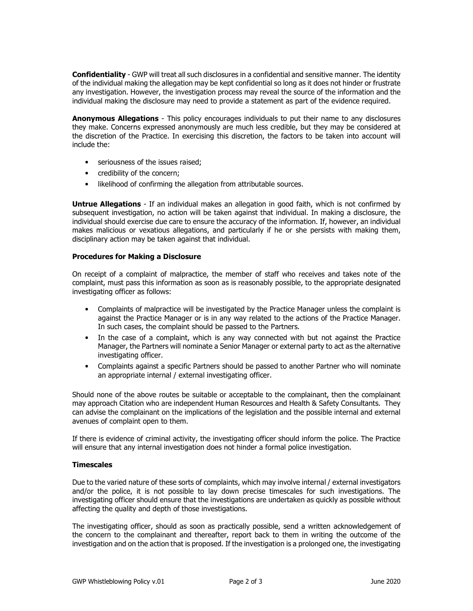Confidentiality - GWP will treat all such disclosures in a confidential and sensitive manner. The identity of the individual making the allegation may be kept confidential so long as it does not hinder or frustrate any investigation. However, the investigation process may reveal the source of the information and the individual making the disclosure may need to provide a statement as part of the evidence required.

**Anonymous Allegations** - This policy encourages individuals to put their name to any disclosures they make. Concerns expressed anonymously are much less credible, but they may be considered at the discretion of the Practice. In exercising this discretion, the factors to be taken into account will include the:

- seriousness of the issues raised:
- credibility of the concern;
- likelihood of confirming the allegation from attributable sources.

Untrue Allegations - If an individual makes an allegation in good faith, which is not confirmed by subsequent investigation, no action will be taken against that individual. In making a disclosure, the individual should exercise due care to ensure the accuracy of the information. If, however, an individual makes malicious or vexatious allegations, and particularly if he or she persists with making them, disciplinary action may be taken against that individual.

## Procedures for Making a Disclosure

On receipt of a complaint of malpractice, the member of staff who receives and takes note of the complaint, must pass this information as soon as is reasonably possible, to the appropriate designated investigating officer as follows:

- Complaints of malpractice will be investigated by the Practice Manager unless the complaint is against the Practice Manager or is in any way related to the actions of the Practice Manager. In such cases, the complaint should be passed to the Partners.
- In the case of a complaint, which is any way connected with but not against the Practice Manager, the Partners will nominate a Senior Manager or external party to act as the alternative investigating officer.
- Complaints against a specific Partners should be passed to another Partner who will nominate an appropriate internal / external investigating officer.

Should none of the above routes be suitable or acceptable to the complainant, then the complainant may approach Citation who are independent Human Resources and Health & Safety Consultants. They can advise the complainant on the implications of the legislation and the possible internal and external avenues of complaint open to them.

If there is evidence of criminal activity, the investigating officer should inform the police. The Practice will ensure that any internal investigation does not hinder a formal police investigation.

### **Timescales**

Due to the varied nature of these sorts of complaints, which may involve internal / external investigators and/or the police, it is not possible to lay down precise timescales for such investigations. The investigating officer should ensure that the investigations are undertaken as quickly as possible without affecting the quality and depth of those investigations.

The investigating officer, should as soon as practically possible, send a written acknowledgement of the concern to the complainant and thereafter, report back to them in writing the outcome of the investigation and on the action that is proposed. If the investigation is a prolonged one, the investigating